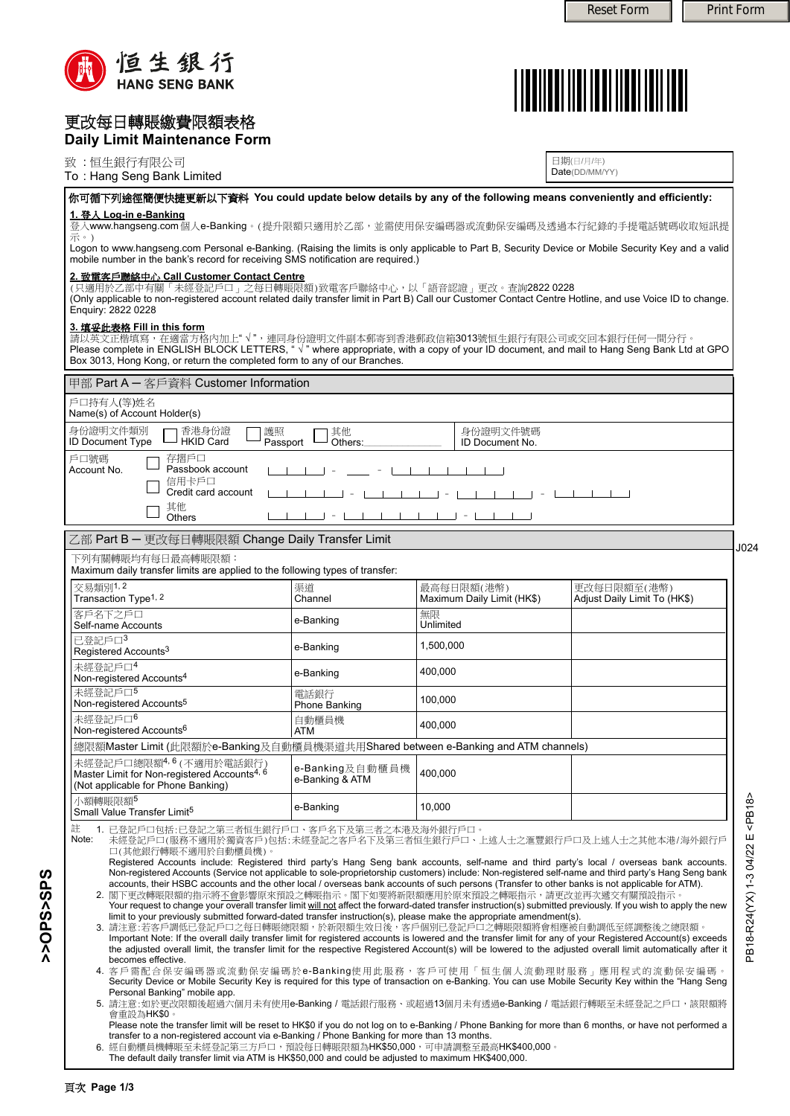Reset Form **Print Form** 

PB18-R24(YX) 1-3 04/22 E <PB18>

PB18-R24(YX) 1-3 04/22 E <PB18>

J024



# 更改每日轉賬繳費限額表格 **Daily Limit Maintenance Form**

致 : 恒生銀行有限公司

To : Hang Seng Bank Limited



日期(日/月/年) Date(DD/MM/YY)

你可循下列途徑簡便快捷更新以下資料 **You could update below details by any of the following means conveniently and efficiently:** 

## **1.** 登入 **Log-in e-Banking**

<u>1. 金A Log-in e-Banking</u><br>登入www.hangseng.com個人e-Banking。(提升限額只適用於乙部,並需使用保安編碼器或流動保安編碼及透過本行紀錄的手提電話號碼收取短訊提 示。)

Logon to www.hangseng.com Personal e-Banking. (Raising the limits is only applicable to Part B, Security Device or Mobile Security Key and a valid mobile number in the bank's record for receiving SMS notification are required.)

#### **2.** 致電客戶聯絡中心 **Call Customer Contact Centre**

(只適用於乙部中有關「未經登記戶口」之每日轉賬限額)致電客戶聯絡中心,以「語音認證」更改。查詢2822 0228

(Only applicable to non-registered account related daily transfer limit in Part B) Call our Customer Contact Centre Hotline, and use Voice ID to change. Enquiry: 2822 0228

#### **3.** 填妥此表格 **Fill in this form**

請以英文正楷填寫,在適當方格內加上" √ ",連同身份證明文件副本郵寄到香港郵政信箱3013號恒生銀行有限公司或交回本銀行任何一間分行。 Please complete in ENGLISH BLOCK LETTERS, " √ " where appropriate, with a copy of your ID document, and mail to Hang Seng Bank Ltd at GPO Box 3013, Hong Kong, or return the completed form to any of our Branches.

| 甲部 Part A - 客戶資料 Customer Information                                                                                                                                                                                                                                                                                                                                                                                                                                                                                                                                                                                                                                                                                                                                                                                                                                                                                                                                                                                                                                                                                                                                                                                                                                                                                                                                                                                                                                                                                                                                                                                                                                                                                                                                      |                                    |                                          |                                             |  |  |
|----------------------------------------------------------------------------------------------------------------------------------------------------------------------------------------------------------------------------------------------------------------------------------------------------------------------------------------------------------------------------------------------------------------------------------------------------------------------------------------------------------------------------------------------------------------------------------------------------------------------------------------------------------------------------------------------------------------------------------------------------------------------------------------------------------------------------------------------------------------------------------------------------------------------------------------------------------------------------------------------------------------------------------------------------------------------------------------------------------------------------------------------------------------------------------------------------------------------------------------------------------------------------------------------------------------------------------------------------------------------------------------------------------------------------------------------------------------------------------------------------------------------------------------------------------------------------------------------------------------------------------------------------------------------------------------------------------------------------------------------------------------------------|------------------------------------|------------------------------------------|---------------------------------------------|--|--|
| 戶口持有人(等)姓名<br>Name(s) of Account Holder(s)                                                                                                                                                                                                                                                                                                                                                                                                                                                                                                                                                                                                                                                                                                                                                                                                                                                                                                                                                                                                                                                                                                                                                                                                                                                                                                                                                                                                                                                                                                                                                                                                                                                                                                                                 |                                    |                                          |                                             |  |  |
| 身份證明文件類別<br>香港身份證<br>護照<br><b>HKID Card</b><br><b>ID Document Type</b><br>Passport                                                                                                                                                                                                                                                                                                                                                                                                                                                                                                                                                                                                                                                                                                                                                                                                                                                                                                                                                                                                                                                                                                                                                                                                                                                                                                                                                                                                                                                                                                                                                                                                                                                                                         | 其他<br>Others:                      | 身份證明文件號碼<br>ID Document No.              |                                             |  |  |
| 存摺戶口<br>戶口號碼<br>Passbook account<br>Account No.<br>信用卡戶口<br>Credit card account<br>$-1 - 1 - 1$<br>其他<br>$\vert - \vert$<br><b>Others</b>                                                                                                                                                                                                                                                                                                                                                                                                                                                                                                                                                                                                                                                                                                                                                                                                                                                                                                                                                                                                                                                                                                                                                                                                                                                                                                                                                                                                                                                                                                                                                                                                                                  |                                    |                                          |                                             |  |  |
| 乙部 Part B - 更改每日轉賬限額 Change Daily Transfer Limit                                                                                                                                                                                                                                                                                                                                                                                                                                                                                                                                                                                                                                                                                                                                                                                                                                                                                                                                                                                                                                                                                                                                                                                                                                                                                                                                                                                                                                                                                                                                                                                                                                                                                                                           |                                    |                                          |                                             |  |  |
| 下列有關轉賬均有每日最高轉賬限額:<br>Maximum daily transfer limits are applied to the following types of transfer:                                                                                                                                                                                                                                                                                                                                                                                                                                                                                                                                                                                                                                                                                                                                                                                                                                                                                                                                                                                                                                                                                                                                                                                                                                                                                                                                                                                                                                                                                                                                                                                                                                                                         |                                    |                                          |                                             |  |  |
| 交易類別1,2<br>Transaction Type <sup>1, 2</sup>                                                                                                                                                                                                                                                                                                                                                                                                                                                                                                                                                                                                                                                                                                                                                                                                                                                                                                                                                                                                                                                                                                                                                                                                                                                                                                                                                                                                                                                                                                                                                                                                                                                                                                                                | 渠道<br>Channel                      | 最高每日限額(港幣)<br>Maximum Daily Limit (HK\$) | 更改每日限額至(港幣)<br>Adjust Daily Limit To (HK\$) |  |  |
| 客戶名下之戶口<br>Self-name Accounts                                                                                                                                                                                                                                                                                                                                                                                                                                                                                                                                                                                                                                                                                                                                                                                                                                                                                                                                                                                                                                                                                                                                                                                                                                                                                                                                                                                                                                                                                                                                                                                                                                                                                                                                              | e-Banking                          | 無限<br>Unlimited                          |                                             |  |  |
| 已登記戶口3<br>Registered Accounts <sup>3</sup>                                                                                                                                                                                                                                                                                                                                                                                                                                                                                                                                                                                                                                                                                                                                                                                                                                                                                                                                                                                                                                                                                                                                                                                                                                                                                                                                                                                                                                                                                                                                                                                                                                                                                                                                 | e-Banking                          | 1.500.000                                |                                             |  |  |
| 未經登記戶口4<br>Non-registered Accounts <sup>4</sup>                                                                                                                                                                                                                                                                                                                                                                                                                                                                                                                                                                                                                                                                                                                                                                                                                                                                                                                                                                                                                                                                                                                                                                                                                                                                                                                                                                                                                                                                                                                                                                                                                                                                                                                            | e-Banking                          | 400,000                                  |                                             |  |  |
| 未經登記戶口5<br>Non-registered Accounts <sup>5</sup>                                                                                                                                                                                                                                                                                                                                                                                                                                                                                                                                                                                                                                                                                                                                                                                                                                                                                                                                                                                                                                                                                                                                                                                                                                                                                                                                                                                                                                                                                                                                                                                                                                                                                                                            | 雷話銀行<br>Phone Banking              | 100,000                                  |                                             |  |  |
| 未經登記戶口6<br>Non-registered Accounts <sup>6</sup>                                                                                                                                                                                                                                                                                                                                                                                                                                                                                                                                                                                                                                                                                                                                                                                                                                                                                                                                                                                                                                                                                                                                                                                                                                                                                                                                                                                                                                                                                                                                                                                                                                                                                                                            | 自動櫃員機<br>ATM                       | 400.000                                  |                                             |  |  |
| 總限額Master Limit (此限額於e-Banking及自動櫃員機渠道共用Shared between e-Banking and ATM channels)                                                                                                                                                                                                                                                                                                                                                                                                                                                                                                                                                                                                                                                                                                                                                                                                                                                                                                                                                                                                                                                                                                                                                                                                                                                                                                                                                                                                                                                                                                                                                                                                                                                                                         |                                    |                                          |                                             |  |  |
| 未經登記戶口總限額 <sup>4,6</sup> (不適用於電話銀行)<br>Master Limit for Non-registered Accounts <sup>4, 6</sup><br>(Not applicable for Phone Banking)                                                                                                                                                                                                                                                                                                                                                                                                                                                                                                                                                                                                                                                                                                                                                                                                                                                                                                                                                                                                                                                                                                                                                                                                                                                                                                                                                                                                                                                                                                                                                                                                                                      | e-Banking及自動櫃員機<br>e-Banking & ATM | 400.000                                  |                                             |  |  |
| 小額轉賬限額5<br>Small Value Transfer Limit <sup>5</sup>                                                                                                                                                                                                                                                                                                                                                                                                                                                                                                                                                                                                                                                                                                                                                                                                                                                                                                                                                                                                                                                                                                                                                                                                                                                                                                                                                                                                                                                                                                                                                                                                                                                                                                                         | e-Banking                          | 10,000                                   |                                             |  |  |
| 註<br>1. 已登記戶口包括:已登記之第三者恒生銀行戶口、客戶名下及第三者之本港及海外銀行戶口。<br>Note:<br>未經登記戶口(服務不適用於獨資客戶)包括:未經登記之客戶名下及第三者恒生銀行戶口、上述人士之滙豐銀行戶口及上述人士之其他本港/海外銀行戶<br>口(其他銀行轉賬不適用於自動櫃員機)。<br>Registered Accounts include: Registered third party's Hang Seng bank accounts, self-name and third party's local / overseas bank accounts.<br>Non-registered Accounts (Service not applicable to sole-proprietorship customers) include: Non-registered self-name and third party's Hang Seng bank<br>accounts, their HSBC accounts and the other local / overseas bank accounts of such persons (Transfer to other banks is not applicable for ATM).<br>2. 閣下更改轉賬限額的指示將不會影響原來預設之轉賬指示。閣下如要將新限額應用於原來預設之轉賬指示,請更改並再次遞交有關預設指示。<br>Your request to change your overall transfer limit <u>will not</u> affect the forward-dated transfer instruction(s) submitted previously. If you wish to apply the new<br>limit to your previously submitted forward-dated transfer instruction(s), please make the appropriate amendment(s).<br>3. 請注意:若客戶調低已登記戶口之每日轉賬總限額,於新限額生效日後,客戶個別已登記戶口之轉賬限額將會相應被自動調低至經調整後之總限額。<br>Important Note: If the overall daily transfer limit for registered accounts is lowered and the transfer limit for any of your Registered Account(s) exceeds<br>the adjusted overall limit, the transfer limit for the respective Registered Account(s) will be lowered to the adjusted overall limit automatically after it<br>becomes effective.<br>4. 客戶需配合保安編碼器或流動保安編碼於e-Banking使用此服務,客戶可使用「恒生個人流動理財服務」應用程式的流動保安編碼。<br>Security Device or Mobile Security Key is required for this type of transaction on e-Banking. You can use Mobile Security Key within the "Hang Seng<br>Personal Banking" mobile app.<br>5. 請注意:如於更改限額後超過六個月未有使用e-Banking / 電話銀行服務、或超過13個月未有诱過e-Banking / 電話銀行轉賬至未經登記之戶口,該限額將 |                                    |                                          |                                             |  |  |

請注意:如於更改限額後超過六個月未有使用**e-Banking /** 電話銀行服務、或超過13個月未有透過e-Banking / 電話銀行轉賬至未經登記之戶口,該限額將 會重設為HK\$0。 5.

Please note the transfer limit will be reset to HK\$0 if you do not log on to e-Banking / Phone Banking for more than 6 months, or have not performed a transfer to a non-registered account via e-Banking / Phone Banking for more than 13 months. 經自動櫃員機轉賬至未經登記第三方戶口,預設每日轉賬限額為HK\$50,000,可申請調整至最高HK\$400,000。 6.

The default daily transfer limit via ATM is HK\$50,000 and could be adjusted to maximum HK\$400,000.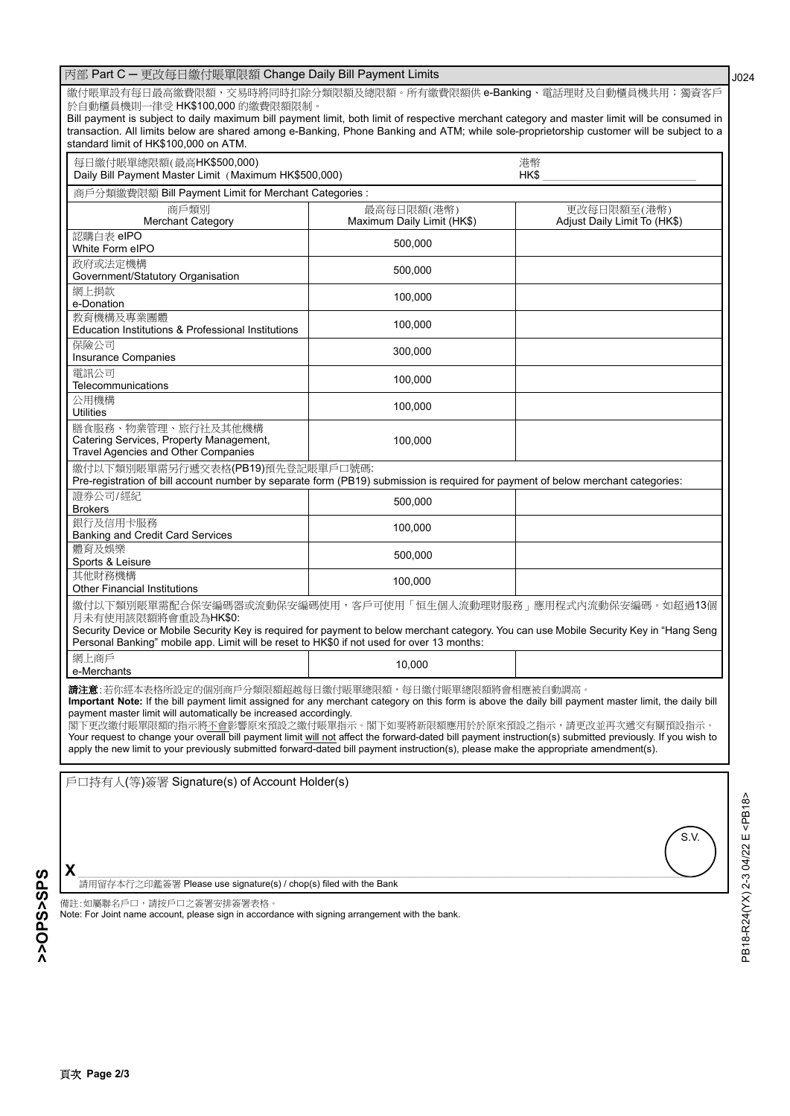頁次 **Page 2/3**

# 丙部 Part C ─ 更改每日繳付賬單限額 Change Daily Bill Payment Limits

繳付賬單設有每日最高繳費限額,交易時將同時扣除分類限額及總限額。所有繳費限額供 e-Banking、電話理財及自動櫃員機共用;獨資客戶 於自動櫃員機則一律受 HK\$100,000 的繳費限額限制。

| Bill payment is subject to daily maximum bill payment limit, both limit of respective merchant category and master limit will be consumed in<br>transaction. All limits below are shared among e-Banking, Phone Banking and ATM; while sole-proprietorship customer will be subject to a                                                                                                                                                                                                                                                                                                                                                                                                                        |                                          |                                             |
|-----------------------------------------------------------------------------------------------------------------------------------------------------------------------------------------------------------------------------------------------------------------------------------------------------------------------------------------------------------------------------------------------------------------------------------------------------------------------------------------------------------------------------------------------------------------------------------------------------------------------------------------------------------------------------------------------------------------|------------------------------------------|---------------------------------------------|
| standard limit of HK\$100,000 on ATM.<br>每日繳付賬單總限額(最高HK\$500,000)                                                                                                                                                                                                                                                                                                                                                                                                                                                                                                                                                                                                                                               |                                          | 港幣                                          |
| Daily Bill Payment Master Limit (Maximum HK\$500,000)                                                                                                                                                                                                                                                                                                                                                                                                                                                                                                                                                                                                                                                           |                                          | HK\$                                        |
| 商戶分類繳費限額 Bill Payment Limit for Merchant Categories:                                                                                                                                                                                                                                                                                                                                                                                                                                                                                                                                                                                                                                                            |                                          |                                             |
| 商戶類別<br>Merchant Category                                                                                                                                                                                                                                                                                                                                                                                                                                                                                                                                                                                                                                                                                       | 最高每日限額(港幣)<br>Maximum Daily Limit (HK\$) | 更改每日限額至(港幣)<br>Adjust Daily Limit To (HK\$) |
| 認購白表 elPO<br>White Form eIPO                                                                                                                                                                                                                                                                                                                                                                                                                                                                                                                                                                                                                                                                                    | 500,000                                  |                                             |
| 政府或法定機構<br>Government/Statutory Organisation                                                                                                                                                                                                                                                                                                                                                                                                                                                                                                                                                                                                                                                                    | 500,000                                  |                                             |
| 網上捐款<br>e-Donation                                                                                                                                                                                                                                                                                                                                                                                                                                                                                                                                                                                                                                                                                              | 100,000                                  |                                             |
| 教育機構及專業團體<br>Education Institutions & Professional Institutions                                                                                                                                                                                                                                                                                                                                                                                                                                                                                                                                                                                                                                                 | 100,000                                  |                                             |
| 保險公司<br>Insurance Companies                                                                                                                                                                                                                                                                                                                                                                                                                                                                                                                                                                                                                                                                                     | 300,000                                  |                                             |
| 電訊公司<br>Telecommunications                                                                                                                                                                                                                                                                                                                                                                                                                                                                                                                                                                                                                                                                                      | 100,000                                  |                                             |
| 公用機構<br>Utilities                                                                                                                                                                                                                                                                                                                                                                                                                                                                                                                                                                                                                                                                                               | 100,000                                  |                                             |
| 膳食服務、物業管理、旅行社及其他機構<br>Catering Services, Property Management,<br><b>Travel Agencies and Other Companies</b>                                                                                                                                                                                                                                                                                                                                                                                                                                                                                                                                                                                                     | 100,000                                  |                                             |
| 繳付以下類別賬單需另行遞交表格(PB19)預先登記賬單戶口號碼:<br>Pre-registration of bill account number by separate form (PB19) submission is required for payment of below merchant categories:                                                                                                                                                                                                                                                                                                                                                                                                                                                                                                                                            |                                          |                                             |
| 證券公司/經紀<br><b>Brokers</b>                                                                                                                                                                                                                                                                                                                                                                                                                                                                                                                                                                                                                                                                                       | 500,000                                  |                                             |
| 銀行及信用卡服務<br><b>Banking and Credit Card Services</b>                                                                                                                                                                                                                                                                                                                                                                                                                                                                                                                                                                                                                                                             | 100,000                                  |                                             |
| 體育及娛樂<br>Sports & Leisure                                                                                                                                                                                                                                                                                                                                                                                                                                                                                                                                                                                                                                                                                       | 500,000                                  |                                             |
| 其他財務機構<br><b>Other Financial Institutions</b>                                                                                                                                                                                                                                                                                                                                                                                                                                                                                                                                                                                                                                                                   | 100,000                                  |                                             |
| 繳付以下類別賬單需配合保安編碼器或流動保安編碼使用,客戶可使用「恒生個人流動理財服務」應用程式內流動保安編碼。如超過 <b>13</b> 個<br>月未有使用該限額將會重設為HK\$0:<br>Security Device or Mobile Security Key is required for payment to below merchant category. You can use Mobile Security Key in "Hang Seng<br>Personal Banking" mobile app. Limit will be reset to HK\$0 if not used for over 13 months:                                                                                                                                                                                                                                                                                                                                                                         |                                          |                                             |
| 網上商戶<br>e-Merchants                                                                                                                                                                                                                                                                                                                                                                                                                                                                                                                                                                                                                                                                                             | 10,000                                   |                                             |
| 請注意:若你經本表格所設定的個別商戶分類限額超越每日繳付賬單總限額,每日繳付賬單總限額將會相應被自動調高。<br>Important Note: If the bill payment limit assigned for any merchant category on this form is above the daily bill payment master limit, the daily bill<br>payment master limit will automatically be increased accordingly.<br>閣下更改繳付賬單限額的指示將不會影響原來預設之繳付賬單指示。閣下如要將新限額應用於於原來預設之指示,請更改並再次遞交有關預設指示。<br>Your request to change your overall bill payment limit will not affect the forward-dated bill payment instruction(s) submitted previously. If you wish to<br>apply the new limit to your previously submitted forward-dated bill payment instruction(s), please make the appropriate amendment(s).<br>戶口持有人(等)簽署 Signature(s) of Account Holder(s) |                                          |                                             |
|                                                                                                                                                                                                                                                                                                                                                                                                                                                                                                                                                                                                                                                                                                                 |                                          |                                             |

**X**\_\_\_\_\_\_\_\_\_\_\_\_\_\_\_\_\_\_\_\_\_\_\_\_\_\_\_\_\_\_\_\_\_\_\_\_\_\_\_\_\_\_\_\_\_\_\_\_\_\_\_\_\_\_\_\_\_\_\_\_\_\_\_\_\_\_\_\_\_\_\_\_\_\_\_\_\_\_\_\_\_\_\_\_\_\_\_\_\_\_\_\_\_\_\_\_\_\_\_\_\_\_\_\_\_\_\_\_\_\_\_\_\_\_\_\_\_\_\_

# 請用留存本行之印鑑簽署 Please use signature(s) / chop(s) filed with the Bank

備註:如屬聯名戶口,請按戶口之簽署安排簽署表格。

Note: For Joint name account, please sign in accordance with signing arrangement with the bank.

## J024

PB18-R24(YX) 2-3 04/22 E <PB18>

PB18-R24(YX) 2-3 04/22 E <PB18>

S.V.